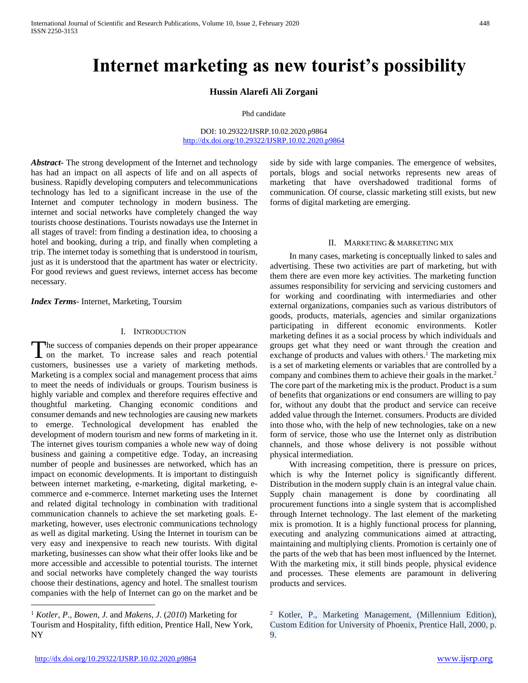# **Internet marketing as new tourist's possibility**

## **Hussin Alarefi Ali Zorgani**

Phd candidate

DOI: 10.29322/IJSRP.10.02.2020.p9864 <http://dx.doi.org/10.29322/IJSRP.10.02.2020.p9864>

*Abstract***-** The strong development of the Internet and technology has had an impact on all aspects of life and on all aspects of business. Rapidly developing computers and telecommunications technology has led to a significant increase in the use of the Internet and computer technology in modern business. The internet and social networks have completely changed the way tourists choose destinations. Tourists nowadays use the Internet in all stages of travel: from finding a destination idea, to choosing a hotel and booking, during a trip, and finally when completing a trip. The internet today is something that is understood in tourism, just as it is understood that the apartment has water or electricity. For good reviews and guest reviews, internet access has become necessary.

*Index Terms*- Internet, Marketing, Toursim

#### I. INTRODUCTION

he success of companies depends on their proper appearance The success of companies depends on their proper appearance<br>on the market. To increase sales and reach potential customers, businesses use a variety of marketing methods. Marketing is a complex social and management process that aims to meet the needs of individuals or groups. Tourism business is highly variable and complex and therefore requires effective and thoughtful marketing. Changing economic conditions and consumer demands and new technologies are causing new markets to emerge. Technological development has enabled the development of modern tourism and new forms of marketing in it. The internet gives tourism companies a whole new way of doing business and gaining a competitive edge. Today, an increasing number of people and businesses are networked, which has an impact on economic developments. It is important to distinguish between internet marketing, e-marketing, digital marketing, ecommerce and e-commerce. Internet marketing uses the Internet and related digital technology in combination with traditional communication channels to achieve the set marketing goals. Emarketing, however, uses electronic communications technology as well as digital marketing. Using the Internet in tourism can be very easy and inexpensive to reach new tourists. With digital marketing, businesses can show what their offer looks like and be more accessible and accessible to potential tourists. The internet and social networks have completely changed the way tourists choose their destinations, agency and hotel. The smallest tourism companies with the help of Internet can go on the market and be

side by side with large companies. The emergence of websites, portals, blogs and social networks represents new areas of marketing that have overshadowed traditional forms of communication. Of course, classic marketing still exists, but new forms of digital marketing are emerging.

#### II. MARKETING & MARKETING MIX

 In many cases, marketing is conceptually linked to sales and advertising. These two activities are part of marketing, but with them there are even more key activities. The marketing function assumes responsibility for servicing and servicing customers and for working and coordinating with intermediaries and other external organizations, companies such as various distributors of goods, products, materials, agencies and similar organizations participating in different economic environments. Kotler marketing defines it as a social process by which individuals and groups get what they need or want through the creation and exchange of products and values with others.<sup>1</sup> The marketing mix is a set of marketing elements or variables that are controlled by a company and combines them to achieve their goals in the market.<sup>2</sup> The core part of the marketing mix is the product. Product is a sum of benefits that organizations or end consumers are willing to pay for, without any doubt that the product and service can receive added value through the Internet. consumers. Products are divided into those who, with the help of new technologies, take on a new form of service, those who use the Internet only as distribution channels, and those whose delivery is not possible without physical intermediation.

 With increasing competition, there is pressure on prices, which is why the Internet policy is significantly different. Distribution in the modern supply chain is an integral value chain. Supply chain management is done by coordinating all procurement functions into a single system that is accomplished through Internet technology. The last element of the marketing mix is promotion. It is a highly functional process for planning, executing and analyzing communications aimed at attracting, maintaining and multiplying clients. Promotion is certainly one of the parts of the web that has been most influenced by the Internet. With the marketing mix, it still binds people, physical evidence and processes. These elements are paramount in delivering products and services.

 $\overline{a}$ 

<sup>1</sup> *Kotler*, *P*., *Bowen*, *J*. and *Makens*, *J*. (*2010*) Marketing for Tourism and Hospitality, fifth edition, Prentice Hall, New York, NY

<sup>2</sup> Kotler, P., Marketing Management, (Millennium Edition), Custom Edition for University of Phoenix, Prentice Hall, 2000, p. 9.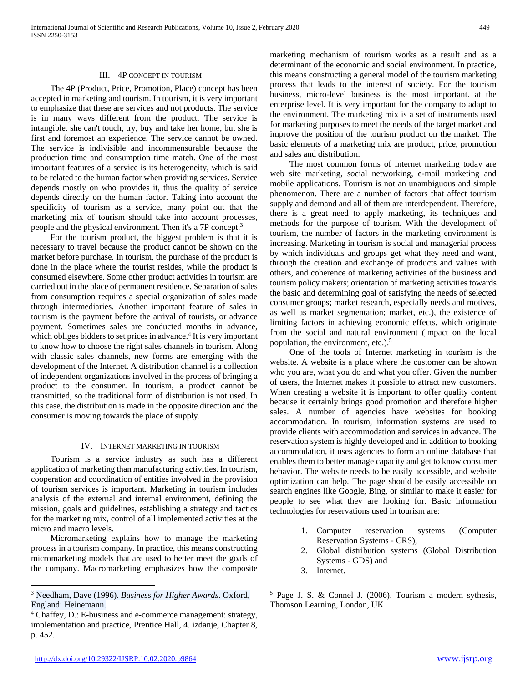## III. 4P CONCEPT IN TOURISM

 The 4P (Product, Price, Promotion, Place) concept has been accepted in marketing and tourism. In tourism, it is very important to emphasize that these are services and not products. The service is in many ways different from the product. The service is intangible. she can't touch, try, buy and take her home, but she is first and foremost an experience. The service cannot be owned. The service is indivisible and incommensurable because the production time and consumption time match. One of the most important features of a service is its heterogeneity, which is said to be related to the human factor when providing services. Service depends mostly on who provides it, thus the quality of service depends directly on the human factor. Taking into account the specificity of tourism as a service, many point out that the marketing mix of tourism should take into account processes, people and the physical environment. Then it's a 7P concept.<sup>3</sup>

 For the tourism product, the biggest problem is that it is necessary to travel because the product cannot be shown on the market before purchase. In tourism, the purchase of the product is done in the place where the tourist resides, while the product is consumed elsewhere. Some other product activities in tourism are carried out in the place of permanent residence. Separation of sales from consumption requires a special organization of sales made through intermediaries. Another important feature of sales in tourism is the payment before the arrival of tourists, or advance payment. Sometimes sales are conducted months in advance, which obliges bidders to set prices in advance.<sup>4</sup> It is very important to know how to choose the right sales channels in tourism. Along with classic sales channels, new forms are emerging with the development of the Internet. A distribution channel is a collection of independent organizations involved in the process of bringing a product to the consumer. In tourism, a product cannot be transmitted, so the traditional form of distribution is not used. In this case, the distribution is made in the opposite direction and the consumer is moving towards the place of supply.

## IV. INTERNET MARKETING IN TOURISM

 Tourism is a service industry as such has a different application of marketing than manufacturing activities. In tourism, cooperation and coordination of entities involved in the provision of tourism services is important. Marketing in tourism includes analysis of the external and internal environment, defining the mission, goals and guidelines, establishing a strategy and tactics for the marketing mix, control of all implemented activities at the micro and macro levels.

 Micromarketing explains how to manage the marketing process in a tourism company. In practice, this means constructing micromarketing models that are used to better meet the goals of the company. Macromarketing emphasizes how the composite marketing mechanism of tourism works as a result and as a determinant of the economic and social environment. In practice, this means constructing a general model of the tourism marketing process that leads to the interest of society. For the tourism business, micro-level business is the most important. at the enterprise level. It is very important for the company to adapt to the environment. The marketing mix is a set of instruments used for marketing purposes to meet the needs of the target market and improve the position of the tourism product on the market. The basic elements of a marketing mix are product, price, promotion and sales and distribution.

 The most common forms of internet marketing today are web site marketing, social networking, e-mail marketing and mobile applications. Tourism is not an unambiguous and simple phenomenon. There are a number of factors that affect tourism supply and demand and all of them are interdependent. Therefore, there is a great need to apply marketing, its techniques and methods for the purpose of tourism. With the development of tourism, the number of factors in the marketing environment is increasing. Marketing in tourism is social and managerial process by which individuals and groups get what they need and want, through the creation and exchange of products and values with others, and coherence of marketing activities of the business and tourism policy makers; orientation of marketing activities towards the basic and determining goal of satisfying the needs of selected consumer groups; market research, especially needs and motives, as well as market segmentation; market, etc.), the existence of limiting factors in achieving economic effects, which originate from the social and natural environment (impact on the local population, the environment, etc.).<sup>5</sup>

 One of the tools of Internet marketing in tourism is the website. A website is a place where the customer can be shown who you are, what you do and what you offer. Given the number of users, the Internet makes it possible to attract new customers. When creating a website it is important to offer quality content because it certainly brings good promotion and therefore higher sales. A number of agencies have websites for booking accommodation. In tourism, information systems are used to provide clients with accommodation and services in advance. The reservation system is highly developed and in addition to booking accommodation, it uses agencies to form an online database that enables them to better manage capacity and get to know consumer behavior. The website needs to be easily accessible, and website optimization can help. The page should be easily accessible on search engines like Google, Bing, or similar to make it easier for people to see what they are looking for. Basic information technologies for reservations used in tourism are:

- 1. Computer reservation systems (Computer Reservation Systems - CRS),
- 2. Global distribution systems (Global Distribution Systems - GDS) and
- 3. Internet.

<sup>5</sup> Page J. S. & Connel J. (2006). Tourism a modern sythesis, Thomson Learning, London, UK

 $\overline{a}$ 

<sup>3</sup> Needham, Dave (1996). *Business for Higher Awards*. Oxford, England: Heinemann.

<sup>4</sup> Chaffey, D.: E-business and e-commerce management: strategy, implementation and practice, Prentice Hall, 4. izdanje, Chapter 8, p. 452.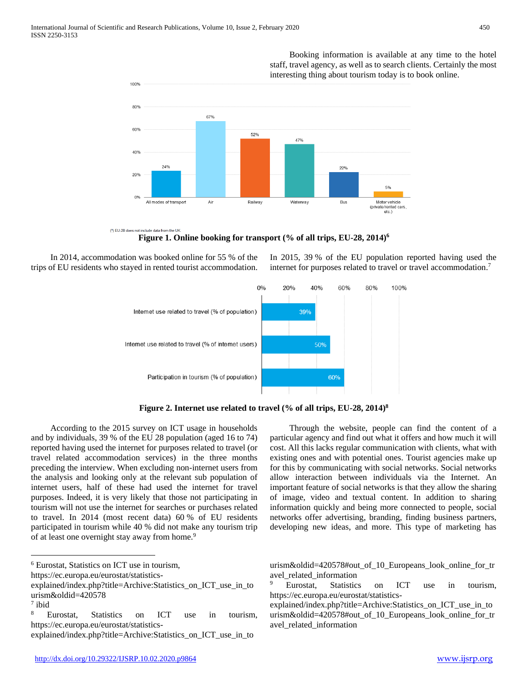100%

 Booking information is available at any time to the hotel staff, travel agency, as well as to search clients. Certainly the most interesting thing about tourism today is to book online.

In 2015, 39 % of the EU population reported having used the internet for purposes related to travel or travel accommodation.<sup>7</sup>



(1) EU-28 does not include data from the UK **Figure 1. Online booking for transport (% of all trips, EU-28, 2014)<sup>6</sup>**

 In 2014, accommodation was booked online for 55 % of the trips of EU residents who stayed in rented tourist accommodation.



**Figure 2. Internet use related to travel (% of all trips, EU-28, 2014)<sup>8</sup>**

 According to the 2015 survey on ICT usage in households and by individuals, 39 % of the EU 28 population (aged 16 to 74) reported having used the internet for purposes related to travel (or travel related accommodation services) in the three months preceding the interview. When excluding non-internet users from the analysis and looking only at the relevant sub population of internet users, half of these had used the internet for travel purposes. Indeed, it is very likely that those not participating in tourism will not use the internet for searches or purchases related to travel. In 2014 (most recent data) 60 % of EU residents participated in tourism while 40 % did not make any tourism trip of at least one overnight stay away from home.<sup>9</sup>

<sup>6</sup> Eurostat, Statistics on ICT use in tourism,

 $\overline{a}$ 

 Through the website, people can find the content of a particular agency and find out what it offers and how much it will cost. All this lacks regular communication with clients, what with existing ones and with potential ones. Tourist agencies make up for this by communicating with social networks. Social networks allow interaction between individuals via the Internet. An important feature of social networks is that they allow the sharing of image, video and textual content. In addition to sharing information quickly and being more connected to people, social networks offer advertising, branding, finding business partners, developing new ideas, and more. This type of marketing has

urism&oldid=420578#out\_of\_10\_Europeans\_look\_online\_for\_tr avel related information

Eurostat, Statistics on ICT use in tourism, https://ec.europa.eu/eurostat/statistics-

explained/index.php?title=Archive:Statistics\_on\_ICT\_use\_in\_to urism&oldid=420578#out of 10 Europeans look online for tr avel\_related\_information

https://ec.europa.eu/eurostat/statistics-

explained/index.php?title=Archive:Statistics\_on\_ICT\_use\_in\_to urism&oldid=420578

<sup>7</sup> ibid

<sup>8</sup> Eurostat, Statistics on ICT use in tourism, https://ec.europa.eu/eurostat/statistics-

explained/index.php?title=Archive:Statistics\_on\_ICT\_use\_in\_to